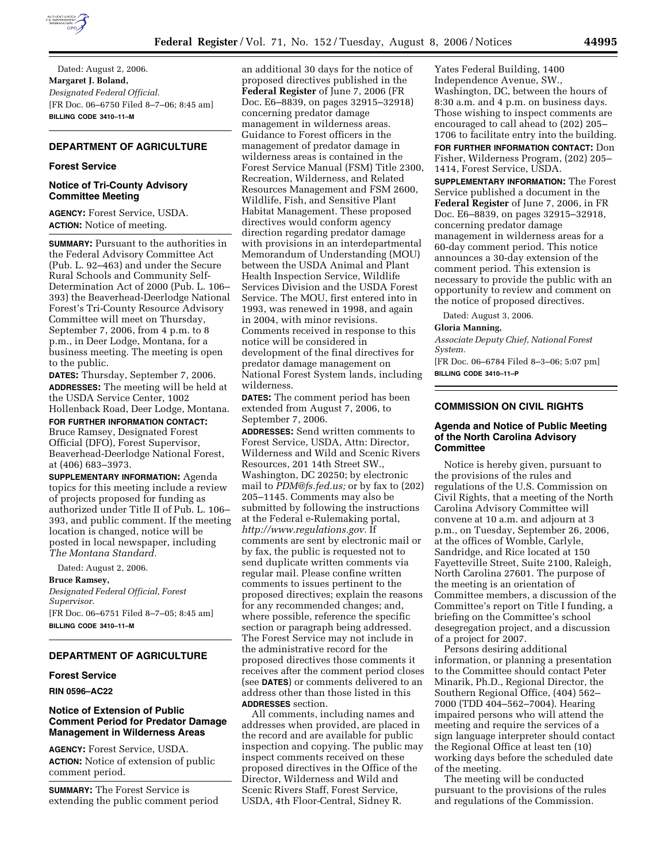

Dated: August 2, 2006. **Margaret J. Boland,**  *Designated Federal Official.*  [FR Doc. 06–6750 Filed 8–7–06; 8:45 am] **BILLING CODE 3410–11–M** 

# **DEPARTMENT OF AGRICULTURE**

### **Forest Service**

### **Notice of Tri-County Advisory Committee Meeting**

**AGENCY:** Forest Service, USDA. **ACTION:** Notice of meeting.

**SUMMARY:** Pursuant to the authorities in the Federal Advisory Committee Act (Pub. L. 92–463) and under the Secure Rural Schools and Community Self-Determination Act of 2000 (Pub. L. 106– 393) the Beaverhead-Deerlodge National Forest's Tri-County Resource Advisory Committee will meet on Thursday, September 7, 2006, from 4 p.m. to 8 p.m., in Deer Lodge, Montana, for a business meeting. The meeting is open to the public.

**DATES:** Thursday, September 7, 2006. **ADDRESSES:** The meeting will be held at the USDA Service Center, 1002 Hollenback Road, Deer Lodge, Montana.

**FOR FURTHER INFORMATION CONTACT:**  Bruce Ramsey, Designated Forest Official (DFO), Forest Supervisor, Beaverhead-Deerlodge National Forest, at (406) 683–3973.

**SUPPLEMENTARY INFORMATION:** Agenda topics for this meeting include a review of projects proposed for funding as authorized under Title II of Pub. L. 106– 393, and public comment. If the meeting location is changed, notice will be posted in local newspaper, including *The Montana Standard.* 

Dated: August 2, 2006.

#### **Bruce Ramsey,**

*Designated Federal Official, Forest Supervisor.* 

[FR Doc. 06–6751 Filed 8–7–05; 8:45 am] **BILLING CODE 3410–11–M** 

# **DEPARTMENT OF AGRICULTURE**

### **Forest Service**

**RIN 0596–AC22** 

### **Notice of Extension of Public Comment Period for Predator Damage Management in Wilderness Areas**

**AGENCY:** Forest Service, USDA. **ACTION:** Notice of extension of public comment period.

**SUMMARY:** The Forest Service is extending the public comment period an additional 30 days for the notice of proposed directives published in the **Federal Register** of June 7, 2006 (FR Doc. E6–8839, on pages 32915–32918) concerning predator damage management in wilderness areas. Guidance to Forest officers in the management of predator damage in wilderness areas is contained in the Forest Service Manual (FSM) Title 2300, Recreation, Wilderness, and Related Resources Management and FSM 2600, Wildlife, Fish, and Sensitive Plant Habitat Management. These proposed directives would conform agency direction regarding predator damage with provisions in an interdepartmental Memorandum of Understanding (MOU) between the USDA Animal and Plant Health Inspection Service, Wildlife Services Division and the USDA Forest Service. The MOU, first entered into in 1993, was renewed in 1998, and again in 2004, with minor revisions. Comments received in response to this notice will be considered in development of the final directives for predator damage management on National Forest System lands, including wilderness.

**DATES:** The comment period has been extended from August 7, 2006, to September 7, 2006.

**ADDRESSES:** Send written comments to Forest Service, USDA, Attn: Director, Wilderness and Wild and Scenic Rivers Resources, 201 14th Street SW., Washington, DC 20250; by electronic mail to *PDM@fs.fed.us;* or by fax to (202) 205–1145. Comments may also be submitted by following the instructions at the Federal e-Rulemaking portal, *http://www.regulations.gov.* If comments are sent by electronic mail or by fax, the public is requested not to send duplicate written comments via regular mail. Please confine written comments to issues pertinent to the proposed directives; explain the reasons for any recommended changes; and, where possible, reference the specific section or paragraph being addressed. The Forest Service may not include in the administrative record for the proposed directives those comments it receives after the comment period closes (see **DATES**) or comments delivered to an address other than those listed in this **ADDRESSES** section.

All comments, including names and addresses when provided, are placed in the record and are available for public inspection and copying. The public may inspect comments received on these proposed directives in the Office of the Director, Wilderness and Wild and Scenic Rivers Staff, Forest Service, USDA, 4th Floor-Central, Sidney R.

Yates Federal Building, 1400 Independence Avenue, SW., Washington, DC, between the hours of 8:30 a.m. and 4 p.m. on business days. Those wishing to inspect comments are encouraged to call ahead to (202) 205– 1706 to facilitate entry into the building.

**FOR FURTHER INFORMATION CONTACT:** Don Fisher, Wilderness Program, (202) 205– 1414, Forest Service, USDA.

**SUPPLEMENTARY INFORMATION:** The Forest Service published a document in the **Federal Register** of June 7, 2006, in FR Doc. E6–8839, on pages 32915–32918, concerning predator damage management in wilderness areas for a 60-day comment period. This notice announces a 30-day extension of the comment period. This extension is necessary to provide the public with an opportunity to review and comment on the notice of proposed directives.

Dated: August 3, 2006.

#### **Gloria Manning,**

*Associate Deputy Chief, National Forest System.* 

[FR Doc. 06–6784 Filed 8–3–06; 5:07 pm] **BILLING CODE 3410–11–P** 

### **COMMISSION ON CIVIL RIGHTS**

### **Agenda and Notice of Public Meeting of the North Carolina Advisory Committee**

Notice is hereby given, pursuant to the provisions of the rules and regulations of the U.S. Commission on Civil Rights, that a meeting of the North Carolina Advisory Committee will convene at 10 a.m. and adjourn at 3 p.m., on Tuesday, September 26, 2006, at the offices of Womble, Carlyle, Sandridge, and Rice located at 150 Fayetteville Street, Suite 2100, Raleigh, North Carolina 27601. The purpose of the meeting is an orientation of Committee members, a discussion of the Committee's report on Title I funding, a briefing on the Committee's school desegregation project, and a discussion of a project for 2007.

Persons desiring additional information, or planning a presentation to the Committee should contact Peter Minarik, Ph.D., Regional Director, the Southern Regional Office, (404) 562– 7000 (TDD 404–562–7004). Hearing impaired persons who will attend the meeting and require the services of a sign language interpreter should contact the Regional Office at least ten (10) working days before the scheduled date of the meeting.

The meeting will be conducted pursuant to the provisions of the rules and regulations of the Commission.